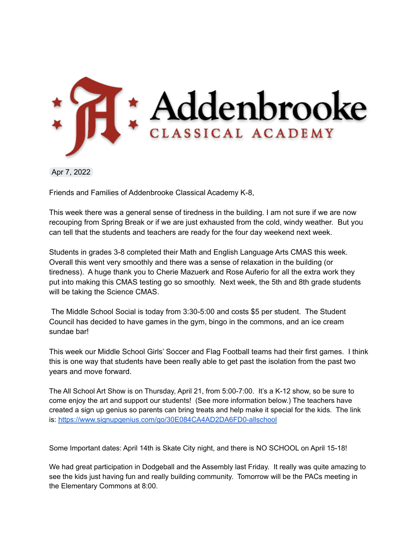

Apr 7, 2022

Friends and Families of Addenbrooke Classical Academy K-8,

This week there was a general sense of tiredness in the building. I am not sure if we are now recouping from Spring Break or if we are just exhausted from the cold, windy weather. But you can tell that the students and teachers are ready for the four day weekend next week.

Students in grades 3-8 completed their Math and English Language Arts CMAS this week. Overall this went very smoothly and there was a sense of relaxation in the building (or tiredness). A huge thank you to Cherie Mazuerk and Rose Auferio for all the extra work they put into making this CMAS testing go so smoothly. Next week, the 5th and 8th grade students will be taking the Science CMAS.

The Middle School Social is today from 3:30-5:00 and costs \$5 per student. The Student Council has decided to have games in the gym, bingo in the commons, and an ice cream sundae bar!

This week our Middle School Girls' Soccer and Flag Football teams had their first games. I think this is one way that students have been really able to get past the isolation from the past two years and move forward.

The All School Art Show is on Thursday, April 21, from 5:00-7:00. It's a K-12 show, so be sure to come enjoy the art and support our students! (See more information below.) The teachers have created a sign up genius so parents can bring treats and help make it special for the kids. The link is: <https://www.signupgenius.com/go/30E084CA4AD2DA6FD0-allschool>

Some Important dates: April 14th is Skate City night, and there is NO SCHOOL on April 15-18!

We had great participation in Dodgeball and the Assembly last Friday. It really was quite amazing to see the kids just having fun and really building community. Tomorrow will be the PACs meeting in the Elementary Commons at 8:00.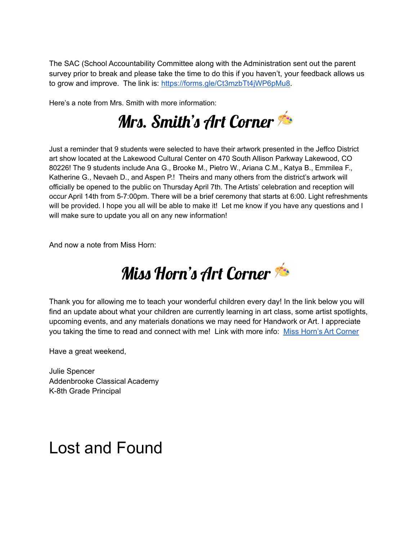The SAC (School Accountability Committee along with the Administration sent out the parent survey prior to break and please take the time to do this if you haven't, your feedback allows us to grow and improve. The link is: <https://forms.gle/Ct3mzbTt4jWP6pMu8>.

Here's a note from Mrs. Smith with more information:

## Mrs. Smith's Art Corner

Just a reminder that 9 students were selected to have their artwork presented in the Jeffco District art show located at the Lakewood Cultural Center on 470 South Allison Parkway Lakewood, CO 80226! The 9 students include Ana G., Brooke M., Pietro W., Ariana C.M., Katya B., Emmilea F., Katherine G., Nevaeh D., and Aspen P.! Theirs and many others from the district's artwork will officially be opened to the public on Thursday April 7th. The Artists' celebration and reception will occur April 14th from 5-7:00pm. There will be a brief ceremony that starts at 6:00. Light refreshments will be provided. I hope you all will be able to make it! Let me know if you have any questions and I will make sure to update you all on any new information!

And now a note from Miss Horn:



Thank you for allowing me to teach your wonderful children every day! In the link below you will find an update about what your children are currently learning in art class, some artist spotlights, upcoming events, and any materials donations we may need for Handwork or Art. I appreciate you taking the time to read and connect with me! Link with more info: Miss Horn's Art [Corner](https://docs.google.com/document/d/1f3kX1kFqMxmmM0AImF3M_HKsl_-ygmUTunGNzfXnWbo/edit?usp=sharing)

Have a great weekend,

Julie Spencer Addenbrooke Classical Academy K-8th Grade Principal

## Lost and Found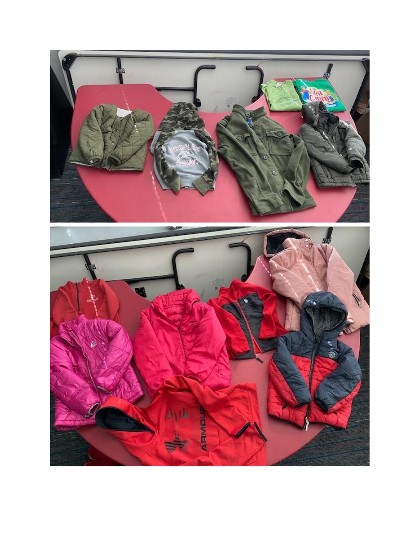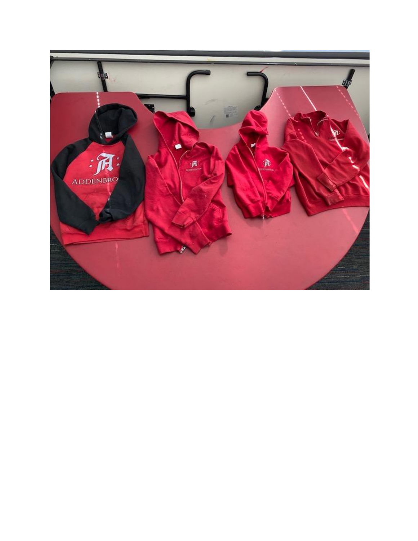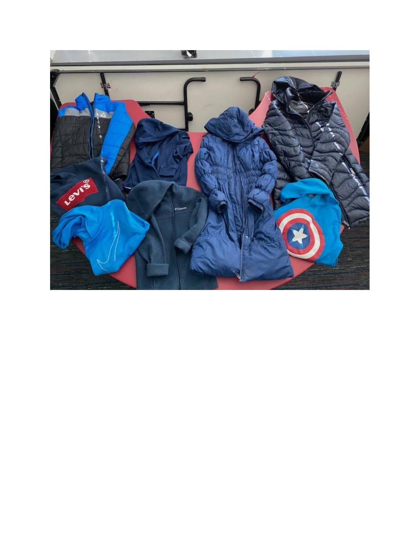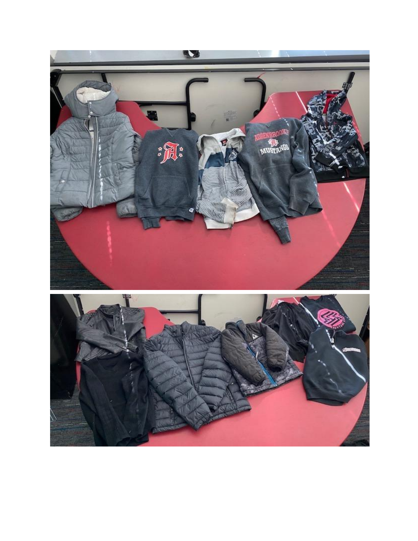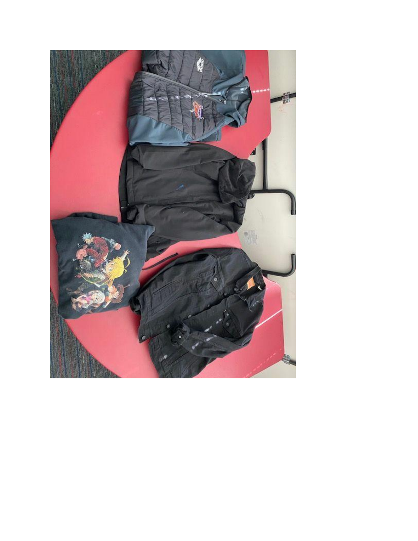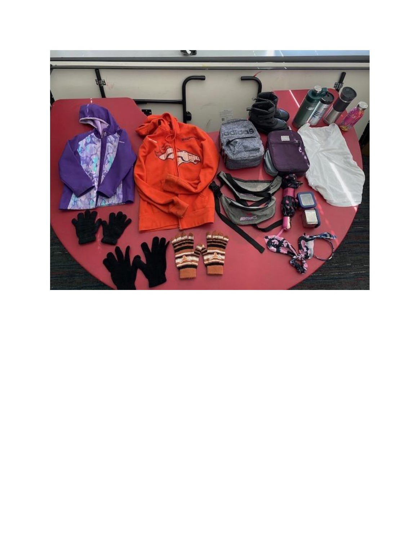